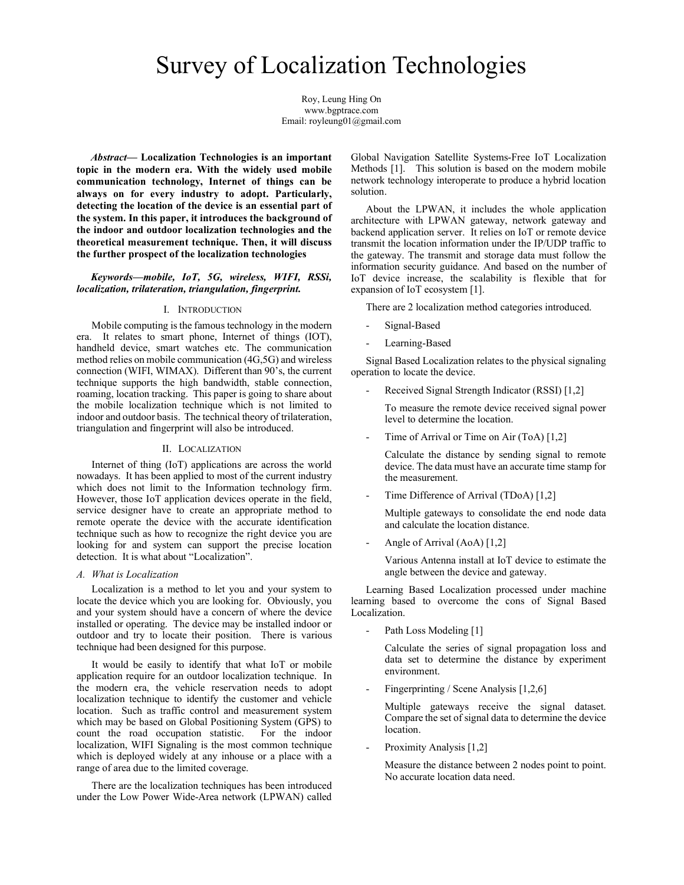# Survey of Localization Technologies

Roy, Leung Hing On www.bgptrace.com Email: royleung01@gmail.com

Abstract— Localization Technologies is an important topic in the modern era. With the widely used mobile communication technology, Internet of things can be always on for every industry to adopt. Particularly, detecting the location of the device is an essential part of the system. In this paper, it introduces the background of the indoor and outdoor localization technologies and the theoretical measurement technique. Then, it will discuss the further prospect of the localization technologies

# Keywords—mobile, IoT, 5G, wireless, WIFI, RSSi, localization, trilateration, triangulation, fingerprint.

#### I. INTRODUCTION

Mobile computing is the famous technology in the modern era. It relates to smart phone, Internet of things (IOT), handheld device, smart watches etc. The communication method relies on mobile communication (4G,5G) and wireless connection (WIFI, WIMAX). Different than 90's, the current technique supports the high bandwidth, stable connection, roaming, location tracking. This paper is going to share about the mobile localization technique which is not limited to indoor and outdoor basis. The technical theory of trilateration, triangulation and fingerprint will also be introduced.

#### II. LOCALIZATION

Internet of thing (IoT) applications are across the world nowadays. It has been applied to most of the current industry which does not limit to the Information technology firm. However, those IoT application devices operate in the field, service designer have to create an appropriate method to remote operate the device with the accurate identification technique such as how to recognize the right device you are looking for and system can support the precise location detection. It is what about "Localization".

#### A. What is Localization

Localization is a method to let you and your system to locate the device which you are looking for. Obviously, you and your system should have a concern of where the device installed or operating. The device may be installed indoor or outdoor and try to locate their position. There is various technique had been designed for this purpose.

It would be easily to identify that what IoT or mobile application require for an outdoor localization technique. In the modern era, the vehicle reservation needs to adopt localization technique to identify the customer and vehicle location. Such as traffic control and measurement system which may be based on Global Positioning System (GPS) to count the road occupation statistic. For the indoor localization, WIFI Signaling is the most common technique which is deployed widely at any inhouse or a place with a range of area due to the limited coverage.

There are the localization techniques has been introduced under the Low Power Wide-Area network (LPWAN) called

Global Navigation Satellite Systems-Free IoT Localization Methods [1]. This solution is based on the modern mobile network technology interoperate to produce a hybrid location solution.

About the LPWAN, it includes the whole application architecture with LPWAN gateway, network gateway and backend application server. It relies on IoT or remote device transmit the location information under the IP/UDP traffic to the gateway. The transmit and storage data must follow the information security guidance. And based on the number of IoT device increase, the scalability is flexible that for expansion of IoT ecosystem [1].

There are 2 localization method categories introduced.

- Signal-Based
- Learning-Based

 Signal Based Localization relates to the physical signaling operation to locate the device.

Received Signal Strength Indicator (RSSI) [1,2]

To measure the remote device received signal power level to determine the location.

Time of Arrival or Time on Air (ToA) [1,2]

Calculate the distance by sending signal to remote device. The data must have an accurate time stamp for the measurement.

Time Difference of Arrival (TDoA) [1,2]

Multiple gateways to consolidate the end node data and calculate the location distance.

Angle of Arrival (AoA) [1,2]

Various Antenna install at IoT device to estimate the angle between the device and gateway.

 Learning Based Localization processed under machine learning based to overcome the cons of Signal Based Localization.

Path Loss Modeling [1]

Calculate the series of signal propagation loss and data set to determine the distance by experiment environment.

Fingerprinting / Scene Analysis [1,2,6]

Multiple gateways receive the signal dataset. Compare the set of signal data to determine the device location.

Proximity Analysis [1,2]

Measure the distance between 2 nodes point to point. No accurate location data need.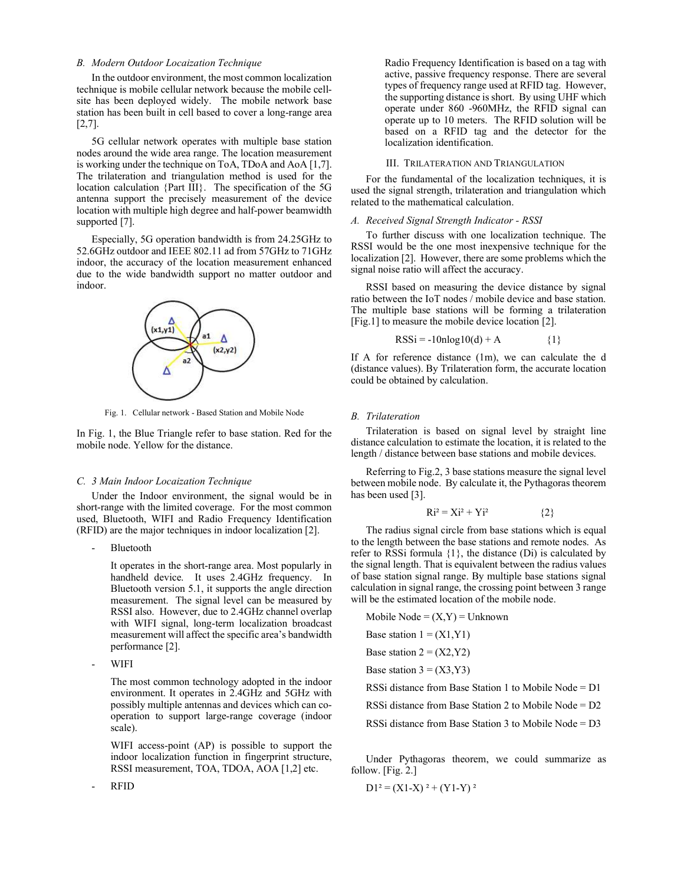### B. Modern Outdoor Locaization Technique

In the outdoor environment, the most common localization technique is mobile cellular network because the mobile cellsite has been deployed widely. The mobile network base station has been built in cell based to cover a long-range area [2,7].

5G cellular network operates with multiple base station nodes around the wide area range. The location measurement is working under the technique on ToA, TDoA and AoA [1,7]. The trilateration and triangulation method is used for the location calculation {Part III}. The specification of the 5G antenna support the precisely measurement of the device location with multiple high degree and half-power beamwidth supported [7].

Especially, 5G operation bandwidth is from 24.25GHz to 52.6GHz outdoor and IEEE 802.11 ad from 57GHz to 71GHz indoor, the accuracy of the location measurement enhanced due to the wide bandwidth support no matter outdoor and indoor.



Fig. 1. Cellular network - Based Station and Mobile Node

In Fig. 1, the Blue Triangle refer to base station. Red for the mobile node. Yellow for the distance.

## C. 3 Main Indoor Locaization Technique

Under the Indoor environment, the signal would be in short-range with the limited coverage. For the most common used, Bluetooth, WIFI and Radio Frequency Identification (RFID) are the major techniques in indoor localization [2].

- Bluetooth

It operates in the short-range area. Most popularly in handheld device. It uses 2.4GHz frequency. In Bluetooth version 5.1, it supports the angle direction measurement. The signal level can be measured by RSSI also. However, due to 2.4GHz channel overlap with WIFI signal, long-term localization broadcast measurement will affect the specific area's bandwidth performance [2].

- WIFI

The most common technology adopted in the indoor environment. It operates in 2.4GHz and 5GHz with possibly multiple antennas and devices which can cooperation to support large-range coverage (indoor scale).

WIFI access-point (AP) is possible to support the indoor localization function in fingerprint structure, RSSI measurement, TOA, TDOA, AOA [1,2] etc.

- RFID

Radio Frequency Identification is based on a tag with active, passive frequency response. There are several types of frequency range used at RFID tag. However, the supporting distance is short. By using UHF which operate under 860 -960MHz, the RFID signal can operate up to 10 meters. The RFID solution will be based on a RFID tag and the detector for the localization identification.

## III. TRILATERATION AND TRIANGULATION

For the fundamental of the localization techniques, it is used the signal strength, trilateration and triangulation which related to the mathematical calculation.

#### A. Received Signal Strength Indicator - RSSI

 To further discuss with one localization technique. The RSSI would be the one most inexpensive technique for the localization [2]. However, there are some problems which the signal noise ratio will affect the accuracy.

 RSSI based on measuring the device distance by signal ratio between the IoT nodes / mobile device and base station. The multiple base stations will be forming a trilateration [Fig.1] to measure the mobile device location [2].

$$
RSSi = -10nlog10(d) + A
$$
 {1}

If A for reference distance (1m), we can calculate the d (distance values). By Trilateration form, the accurate location could be obtained by calculation.

### B. Trilateration

Trilateration is based on signal level by straight line distance calculation to estimate the location, it is related to the length / distance between base stations and mobile devices.

Referring to Fig.2, 3 base stations measure the signal level between mobile node. By calculate it, the Pythagoras theorem has been used [3].

$$
Ri^2 = Xi^2 + Yi^2
$$
 {2}

 The radius signal circle from base stations which is equal to the length between the base stations and remote nodes. As refer to RSSi formula  $\{1\}$ , the distance (Di) is calculated by the signal length. That is equivalent between the radius values of base station signal range. By multiple base stations signal calculation in signal range, the crossing point between 3 range will be the estimated location of the mobile node.

Mobile Node =  $(X, Y)$  = Unknown Base station  $1 = (X1, Y1)$ Base station  $2 = (X2, Y2)$ Base station  $3 = (X3, Y3)$  RSSi distance from Base Station 1 to Mobile Node = D1 RSSi distance from Base Station 2 to Mobile Node = D2

RSSi distance from Base Station 3 to Mobile Node = D3

 Under Pythagoras theorem, we could summarize as follow. [Fig. 2.]

 $D1^2 = (X1-X)^2 + (Y1-Y)^2$